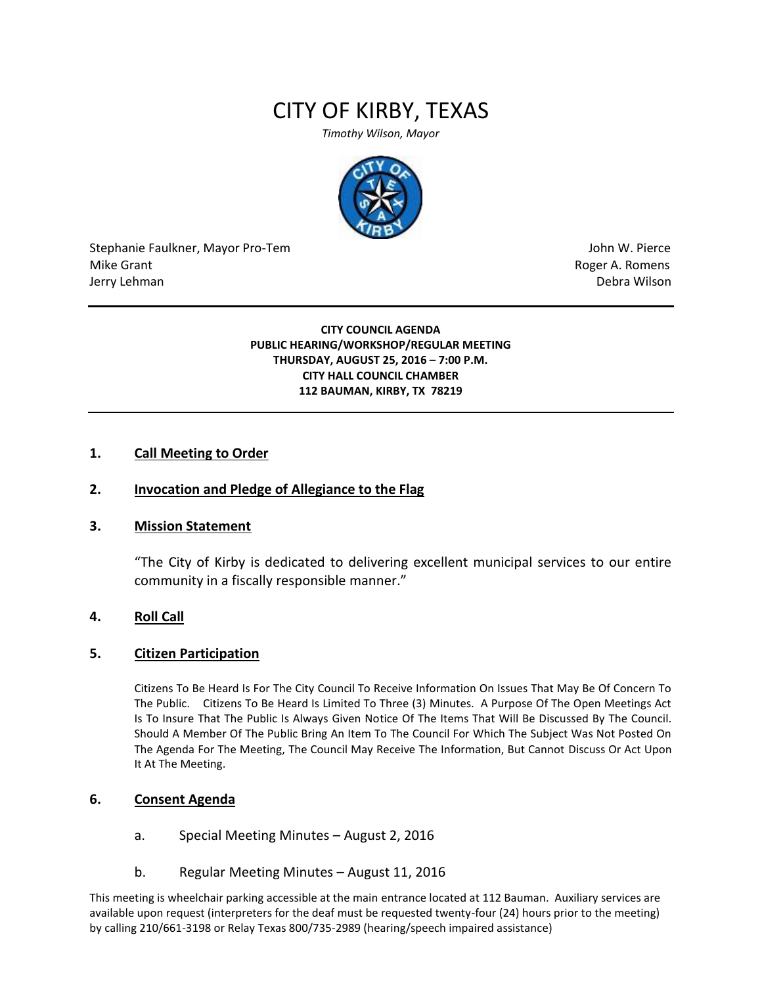# CITY OF KIRBY, TEXAS

*Timothy Wilson, Mayor*



Stephanie Faulkner, Mayor Pro-Tem John W. Pierce Mike Grant **Mike Grant** Roger A. Romens **Contract A. Romens Roger A. Romens** Jerry Lehman Debra Wilson (2008) and the state of the state of the state of the state of the state of the state of the state of the state of the state of the state of the state of the state of the state of the state of the

#### **CITY COUNCIL AGENDA PUBLIC HEARING/WORKSHOP/REGULAR MEETING THURSDAY, AUGUST 25, 2016 – 7:00 P.M. CITY HALL COUNCIL CHAMBER 112 BAUMAN, KIRBY, TX 78219**

#### **1. Call Meeting to Order**

#### **2. Invocation and Pledge of Allegiance to the Flag**

#### **3. Mission Statement**

"The City of Kirby is dedicated to delivering excellent municipal services to our entire community in a fiscally responsible manner."

#### **4. Roll Call**

#### **5. Citizen Participation**

Citizens To Be Heard Is For The City Council To Receive Information On Issues That May Be Of Concern To The Public. Citizens To Be Heard Is Limited To Three (3) Minutes. A Purpose Of The Open Meetings Act Is To Insure That The Public Is Always Given Notice Of The Items That Will Be Discussed By The Council. Should A Member Of The Public Bring An Item To The Council For Which The Subject Was Not Posted On The Agenda For The Meeting, The Council May Receive The Information, But Cannot Discuss Or Act Upon It At The Meeting.

## **6. Consent Agenda**

- a. Special Meeting Minutes August 2, 2016
- b. Regular Meeting Minutes August 11, 2016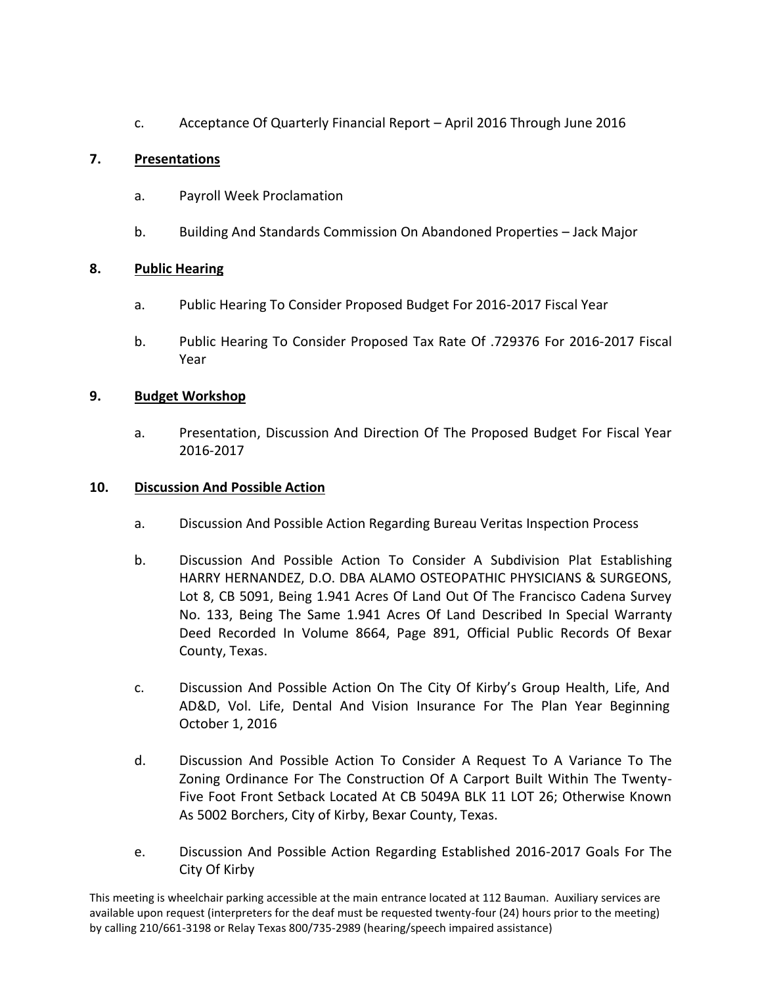c. Acceptance Of Quarterly Financial Report – April 2016 Through June 2016

## **7. Presentations**

- a. Payroll Week Proclamation
- b. Building And Standards Commission On Abandoned Properties Jack Major

## **8. Public Hearing**

- a. Public Hearing To Consider Proposed Budget For 2016-2017 Fiscal Year
- b. Public Hearing To Consider Proposed Tax Rate Of .729376 For 2016-2017 Fiscal Year

## **9. Budget Workshop**

a. Presentation, Discussion And Direction Of The Proposed Budget For Fiscal Year 2016-2017

## **10. Discussion And Possible Action**

- a. Discussion And Possible Action Regarding Bureau Veritas Inspection Process
- b. Discussion And Possible Action To Consider A Subdivision Plat Establishing HARRY HERNANDEZ, D.O. DBA ALAMO OSTEOPATHIC PHYSICIANS & SURGEONS, Lot 8, CB 5091, Being 1.941 Acres Of Land Out Of The Francisco Cadena Survey No. 133, Being The Same 1.941 Acres Of Land Described In Special Warranty Deed Recorded In Volume 8664, Page 891, Official Public Records Of Bexar County, Texas.
- c. Discussion And Possible Action On The City Of Kirby's Group Health, Life, And AD&D, Vol. Life, Dental And Vision Insurance For The Plan Year Beginning October 1, 2016
- d. Discussion And Possible Action To Consider A Request To A Variance To The Zoning Ordinance For The Construction Of A Carport Built Within The Twenty-Five Foot Front Setback Located At CB 5049A BLK 11 LOT 26; Otherwise Known As 5002 Borchers, City of Kirby, Bexar County, Texas.
- e. Discussion And Possible Action Regarding Established 2016-2017 Goals For The City Of Kirby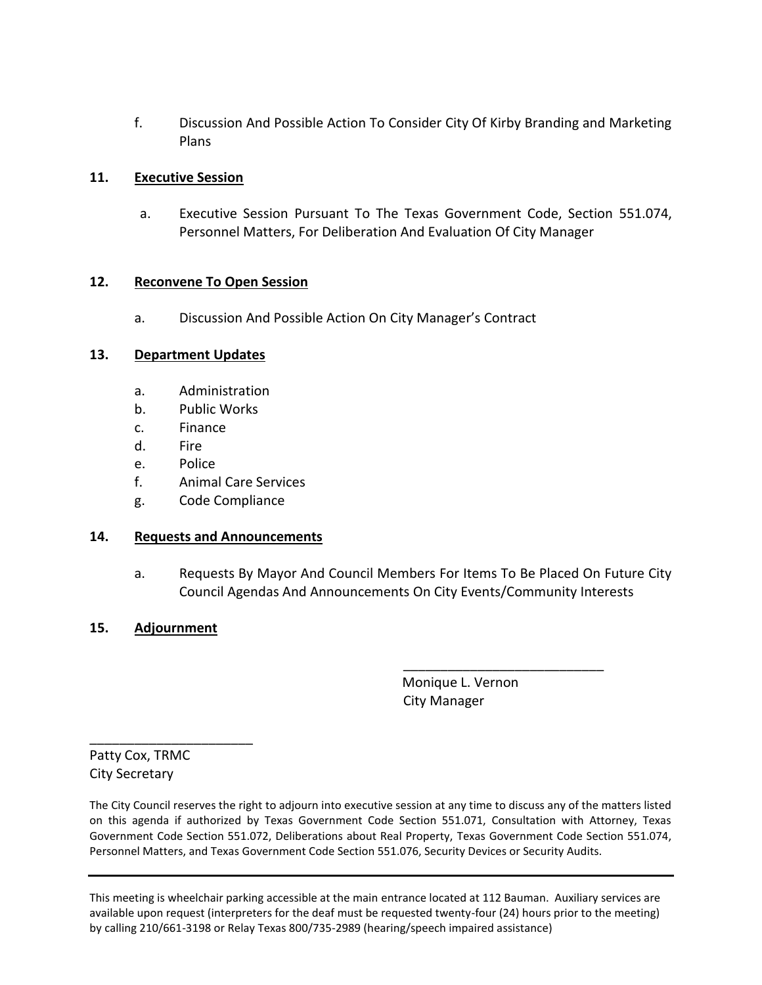f. Discussion And Possible Action To Consider City Of Kirby Branding and Marketing Plans

## **11. Executive Session**

a. Executive Session Pursuant To The Texas Government Code, Section 551.074, Personnel Matters, For Deliberation And Evaluation Of City Manager

## **12. Reconvene To Open Session**

a. Discussion And Possible Action On City Manager's Contract

## **13. Department Updates**

- a. Administration
- b. Public Works
- c. Finance
- d. Fire
- e. Police
- f. Animal Care Services
- g. Code Compliance

## **14. Requests and Announcements**

a. Requests By Mayor And Council Members For Items To Be Placed On Future City Council Agendas And Announcements On City Events/Community Interests

## **15. Adjournment**

 Monique L. Vernon City Manager

\_\_\_\_\_\_\_\_\_\_\_\_\_\_\_\_\_\_\_\_\_\_\_\_\_\_\_

Patty Cox, TRMC City Secretary

\_\_\_\_\_\_\_\_\_\_\_\_\_\_\_\_\_\_\_\_\_\_

The City Council reserves the right to adjourn into executive session at any time to discuss any of the matters listed on this agenda if authorized by Texas Government Code Section 551.071, Consultation with Attorney, Texas Government Code Section 551.072, Deliberations about Real Property, Texas Government Code Section 551.074, Personnel Matters, and Texas Government Code Section 551.076, Security Devices or Security Audits.